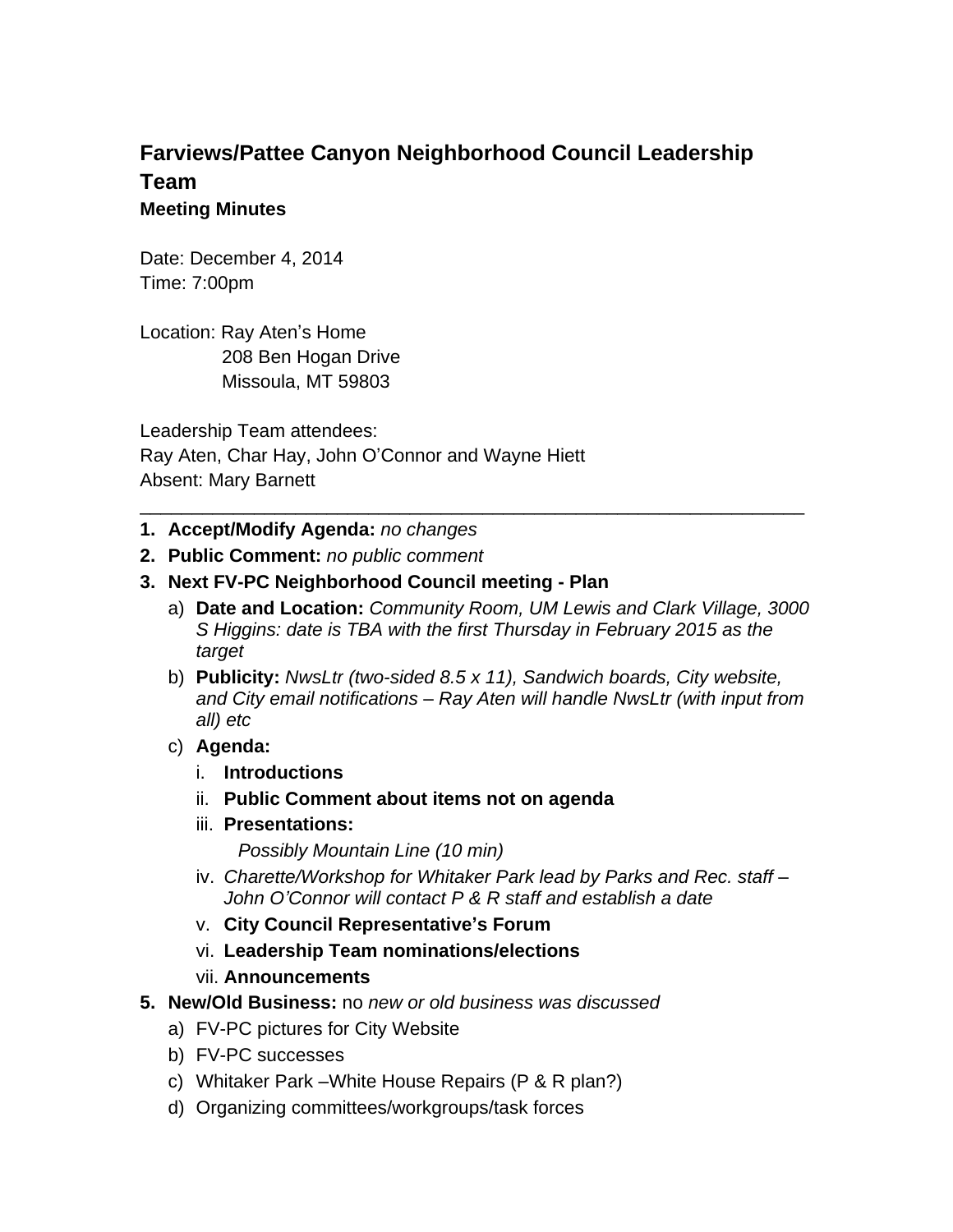## **Farviews/Pattee Canyon Neighborhood Council Leadership Team Meeting Minutes**

Date: December 4, 2014 Time: 7:00pm

Location: Ray Aten's Home 208 Ben Hogan Drive Missoula, MT 59803

Leadership Team attendees: Ray Aten, Char Hay, John O'Connor and Wayne Hiett Absent: Mary Barnett

- **1. Accept/Modify Agenda:** *no changes*
- **2. Public Comment:** *no public comment*
- **3. Next FV-PC Neighborhood Council meeting Plan**
	- a) **Date and Location:** *Community Room, UM Lewis and Clark Village, 3000 S Higgins: date is TBA with the first Thursday in February 2015 as the target*

\_\_\_\_\_\_\_\_\_\_\_\_\_\_\_\_\_\_\_\_\_\_\_\_\_\_\_\_\_\_\_\_\_\_\_\_\_\_\_\_\_\_\_\_\_\_\_\_\_\_\_\_\_\_\_\_\_\_\_\_\_\_\_\_

- b) **Publicity:** *NwsLtr (two-sided 8.5 x 11), Sandwich boards, City website, and City email notifications – Ray Aten will handle NwsLtr (with input from all) etc*
- c) **Agenda:**
	- i. **Introductions**
	- ii. **Public Comment about items not on agenda**
	- iii. **Presentations:**

*Possibly Mountain Line (10 min)*

- iv. Charette/Workshop for Whitaker Park lead by Parks and Rec. staff -*John O'Connor will contact P & R staff and establish a date*
- v. **City Council Representative's Forum**
- vi. **Leadership Team nominations/elections**
- vii. **Announcements**
- **5. New/Old Business:** no *new or old business was discussed*
	- a) FV-PC pictures for City Website
	- b) FV-PC successes
	- c) Whitaker Park –White House Repairs (P & R plan?)
	- d) Organizing committees/workgroups/task forces